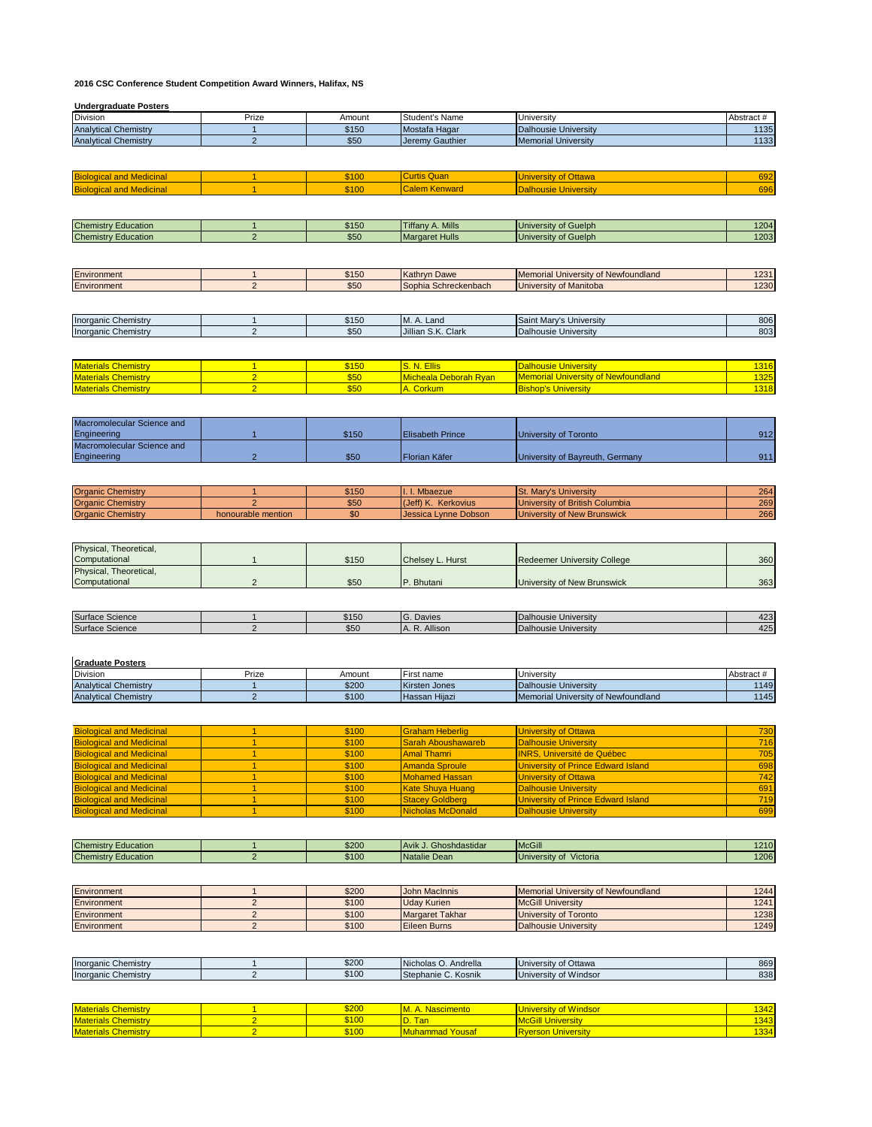## **2016 CSC Conference Student Competition Award Winners, Halifax, NS**

## **Undergraduate Posters**

| Division                                                 | Prize                            | Amount         | Student's Name                   | University                                            | Abstract #   |
|----------------------------------------------------------|----------------------------------|----------------|----------------------------------|-------------------------------------------------------|--------------|
| <b>Analytical Chemistry</b>                              | $\mathbf{1}$                     | \$150          | Mostafa Hagar                    | <b>Dalhousie University</b>                           | 1135         |
| <b>Analytical Chemistry</b>                              | $\overline{2}$                   | \$50           | Jeremy Gauthier                  | <b>Memorial University</b>                            | 1133         |
|                                                          |                                  |                |                                  |                                                       |              |
|                                                          |                                  |                |                                  |                                                       |              |
|                                                          |                                  |                |                                  |                                                       |              |
| <b>Biological and Medicinal</b>                          | $\mathbf{1}$                     | \$100          | <b>Curtis Quan</b>               | <b>University of Ottawa</b>                           | 692          |
|                                                          |                                  |                | <b>Calem Kenward</b>             |                                                       |              |
| <b>Biological and Medicinal</b>                          | $\mathbf{1}$                     | \$100          |                                  | <b>Dalhousie University</b>                           | 696          |
|                                                          |                                  |                |                                  |                                                       |              |
|                                                          |                                  |                |                                  |                                                       |              |
| <b>Chemistry Education</b>                               | $\mathbf{1}$                     | \$150          | <b>Tiffany A. Mills</b>          |                                                       |              |
|                                                          |                                  |                |                                  | University of Guelph                                  | 1204         |
| <b>Chemistry Education</b>                               | $\overline{2}$                   | \$50           | <b>Margaret Hulls</b>            | University of Guelph                                  | 1203         |
|                                                          |                                  |                |                                  |                                                       |              |
|                                                          |                                  |                |                                  |                                                       |              |
|                                                          |                                  |                |                                  |                                                       |              |
| Environment                                              | $\mathbf{1}$                     | \$150          | Kathryn Dawe                     | Memorial University of Newfoundland                   | 1231         |
| Environment                                              | $\overline{2}$                   | \$50           | Sophia Schreckenbach             | University of Manitoba                                | 1230         |
|                                                          |                                  |                |                                  |                                                       |              |
|                                                          |                                  |                |                                  |                                                       |              |
|                                                          |                                  |                |                                  |                                                       |              |
| Inorganic Chemistry                                      | $\mathbf{1}$                     | \$150          | M. A. Land                       | Saint Mary's University                               | 806          |
| <b>Inorganic Chemistry</b>                               | $\overline{2}$                   | \$50           | Jillian S.K. Clark               | <b>Dalhousie University</b>                           | 803          |
|                                                          |                                  |                |                                  |                                                       |              |
|                                                          |                                  |                |                                  |                                                       |              |
|                                                          |                                  |                |                                  |                                                       |              |
| <b>Materials Chemistry</b>                               | $\mathbf{1}$                     | \$150          | S. N. Ellis                      | <b>Dalhousie University</b>                           | 1316         |
| <b>Materials Chemistry</b>                               | $\overline{2}$                   | \$50           | Micheala Deborah Ryan            | <b>Memorial University of Newfoundland</b>            | 1325         |
| <b>Materials Chemistry</b>                               | $\overline{2}$                   | \$50           | A. Corkum                        | <b>Bishop's University</b>                            | 1318         |
|                                                          |                                  |                |                                  |                                                       |              |
|                                                          |                                  |                |                                  |                                                       |              |
|                                                          |                                  |                |                                  |                                                       |              |
| Macromolecular Science and                               |                                  |                |                                  |                                                       |              |
| Engineering                                              | $\overline{1}$                   | \$150          | <b>Elisabeth Prince</b>          | University of Toronto                                 | 912          |
|                                                          |                                  |                |                                  |                                                       |              |
| Macromolecular Science and                               |                                  |                |                                  |                                                       |              |
| Engineering                                              | $\overline{2}$                   | \$50           | Florian Käfer                    | University of Bayreuth, Germany                       | 911          |
|                                                          |                                  |                |                                  |                                                       |              |
|                                                          |                                  |                |                                  |                                                       |              |
|                                                          |                                  |                |                                  |                                                       |              |
| <b>Organic Chemistry</b>                                 | 1                                | \$150          | I. I. Mbaezue                    | St. Mary's University                                 | 264          |
| <b>Organic Chemistry</b>                                 | $\overline{2}$                   | \$50           | (Jeff) K. Kerkovius              | University of British Columbia                        | 269          |
| <b>Organic Chemistry</b>                                 | honourable mention               | \$0            | Jessica Lynne Dobson             | University of New Brunswick                           | 266          |
|                                                          |                                  |                |                                  |                                                       |              |
|                                                          |                                  |                |                                  |                                                       |              |
|                                                          |                                  |                |                                  |                                                       |              |
| Physical, Theoretical,                                   |                                  |                |                                  |                                                       |              |
| Computational                                            | $\mathbf{1}$                     | \$150          | Chelsey L. Hurst                 | <b>Redeemer University College</b>                    | 360          |
| Physical, Theoretical,                                   |                                  |                |                                  |                                                       |              |
| Computational                                            | $\overline{2}$                   | \$50           | P. Bhutani                       | University of New Brunswick                           | 363          |
|                                                          |                                  |                |                                  |                                                       |              |
|                                                          |                                  |                |                                  |                                                       |              |
|                                                          |                                  |                |                                  |                                                       |              |
| Surface Science                                          | $\mathbf{1}$                     | \$150          | G. Davies                        | <b>Dalhousie University</b>                           | 423          |
| Surface Science                                          | $\overline{2}$                   | \$50           | A. R. Allison                    | <b>Dalhousie University</b>                           | 425          |
|                                                          |                                  |                |                                  |                                                       |              |
|                                                          |                                  |                |                                  |                                                       |              |
|                                                          |                                  |                |                                  |                                                       |              |
| <b>Graduate Posters</b>                                  |                                  |                |                                  |                                                       |              |
| Division                                                 | Prize                            | Amount         | First name                       | University                                            | Abstract #   |
| <b>Analytical Chemistry</b>                              | $\mathbf{1}$                     | \$200          | Kirsten Jones                    | <b>Dalhousie University</b>                           | 1149         |
|                                                          |                                  |                |                                  |                                                       |              |
| <b>Analytical Chemistry</b>                              | $\overline{2}$                   | \$100          | Hassan Hijazi                    | Memorial University of Newfoundland                   | 1145         |
|                                                          |                                  |                |                                  |                                                       |              |
|                                                          |                                  |                |                                  |                                                       |              |
| <b>Biological and Medicinal</b>                          | $\mathbf{1}$                     | \$100          | <b>Graham Heberlig</b>           | <b>University of Ottawa</b>                           | 730          |
| <b>Biological and Medicinal</b>                          | 1                                | \$100          |                                  | <b>Dalhousie University</b>                           | 716          |
|                                                          |                                  |                | <b>Sarah Aboushawareb</b>        |                                                       |              |
| <b>Biological and Medicinal</b>                          | 1                                | \$100          | <b>Amal Thamri</b>               | <b>INRS, Université de Québec</b>                     | 705          |
| <b>Biological and Medicinal</b>                          | $\overline{1}$                   | \$100          | <b>Amanda Sproule</b>            | University of Prince Edward Island                    | 698          |
| <b>Biological and Medicinal</b>                          | 1                                | \$100          | <b>Mohamed Hassan</b>            | <b>University of Ottawa</b>                           | 742          |
| <b>Biological and Medicinal</b>                          | $\overline{1}$                   | \$100          | <b>Kate Shuya Huang</b>          | <b>Dalhousie University</b>                           | 691          |
|                                                          |                                  |                |                                  |                                                       |              |
| <b>Biological and Medicinal</b>                          | $\mathbf{1}$                     | \$100          | <b>Stacey Goldberg</b>           | <b>University of Prince Edward Island</b>             | 719          |
| <b>Biological and Medicinal</b>                          | 1                                | \$100          | <b>Nicholas McDonald</b>         | <b>Dalhousie University</b>                           | 699          |
|                                                          |                                  |                |                                  |                                                       |              |
|                                                          |                                  |                |                                  |                                                       |              |
|                                                          |                                  |                |                                  |                                                       |              |
| <b>Chemistry Education</b>                               | $\mathbf{1}$                     | \$200          | Avik J. Ghoshdastidar            | <b>McGill</b>                                         | 1210         |
| <b>Chemistry Education</b>                               | $\overline{2}$                   | \$100          | Natalie Dean                     | University of Victoria                                | 1206         |
|                                                          |                                  |                |                                  |                                                       |              |
|                                                          |                                  |                |                                  |                                                       |              |
| Environment                                              | $\mathbf{1}$                     | \$200          | <b>John MacInnis</b>             | Memorial University of Newfoundland                   | 1244         |
|                                                          |                                  |                |                                  |                                                       |              |
| Environment                                              | $\sqrt{2}$                       | \$100          | <b>Uday Kurien</b>               | <b>McGill University</b>                              | 1241         |
| Environment                                              | $\overline{2}$                   | \$100          | <b>Margaret Takhar</b>           | University of Toronto                                 | 1238         |
| Environment                                              | $\overline{2}$                   | \$100          | <b>Eileen Burns</b>              | <b>Dalhousie University</b>                           | 1249         |
|                                                          |                                  |                |                                  |                                                       |              |
|                                                          |                                  |                |                                  |                                                       |              |
|                                                          |                                  |                |                                  |                                                       |              |
| <b>Inorganic Chemistry</b>                               | $\mathbf{1}$                     | \$200          | Nicholas O. Andrella             | University of Ottawa                                  | 869          |
|                                                          | $\overline{2}$                   |                |                                  |                                                       | 838          |
| <b>Inorganic Chemistry</b>                               |                                  | \$100          | Stephanie C. Kosnik              | University of Windsor                                 |              |
|                                                          |                                  |                |                                  |                                                       |              |
|                                                          |                                  |                |                                  |                                                       |              |
| <b>Materials Chemistry</b>                               |                                  |                | M. A. Nascimento                 | <b>University of Windsor</b>                          | 1342         |
|                                                          |                                  |                |                                  |                                                       |              |
|                                                          | $\blacksquare$                   | \$200          |                                  |                                                       |              |
| <b>Materials Chemistry</b><br><b>Materials Chemistry</b> | $\overline{2}$<br>$\overline{2}$ | \$100<br>\$100 | D. Tan<br><b>Muhammad Yousaf</b> | <b>McGill University</b><br><b>Ryerson University</b> | 1343<br>1334 |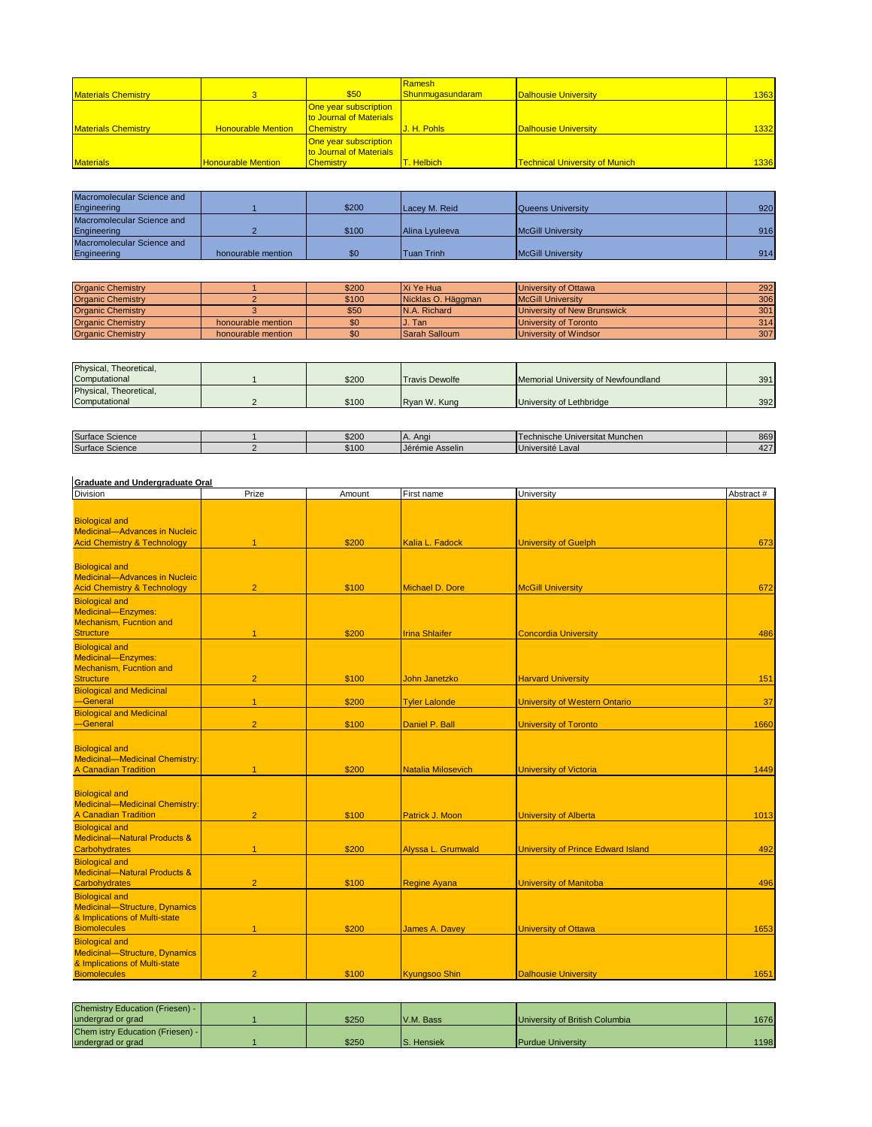| <b>Materials Chemistry</b> |                           | \$50                                                                        | Ramesh<br>Shunmuqasundaram | Dalhousie University                  | 1363 |
|----------------------------|---------------------------|-----------------------------------------------------------------------------|----------------------------|---------------------------------------|------|
| <b>Materials Chemistry</b> | <b>Honourable Mention</b> | One year subscription<br><b>to Journal of Materials</b><br><b>Chemistry</b> | J. H. Pohls                | <b>Dalhousie University</b>           | 1332 |
| <b>Materials</b>           | <b>Honourable Mention</b> | One year subscription<br>to Journal of Materials<br><b>Chemistry</b>        | Helbich                    | <b>Technical University of Munich</b> | 1336 |

| Macromolecular Science and |                    |       |                   |                          |     |
|----------------------------|--------------------|-------|-------------------|--------------------------|-----|
| Engineering                |                    | \$200 | Lacey M. Reid     | Queens University        | 920 |
| Macromolecular Science and |                    |       |                   |                          |     |
| Engineering                |                    | \$100 | Alina Lyuleeva    | <b>McGill University</b> | 916 |
| Macromolecular Science and |                    |       |                   |                          |     |
| Engineering                | honourable mention | \$0   | <b>Tuan Trinh</b> | <b>McGill University</b> | 914 |

| <b>Organic Chemistry</b> |                    | \$200 | Xi Ye Hua            | University of Ottawa        | 292 |
|--------------------------|--------------------|-------|----------------------|-----------------------------|-----|
| <b>Organic Chemistry</b> |                    | \$100 | Nicklas O. Häggman   | <b>IMcGill University</b>   | 306 |
| <b>Organic Chemistry</b> |                    | \$50  | IN.A. Richard        | University of New Brunswick | 301 |
| <b>Organic Chemistry</b> | honourable mention | \$0   | <b>J.</b> Tan        | University of Toronto       | 314 |
| <b>Organic Chemistry</b> | honourable mention | \$0   | <b>Sarah Salloum</b> | University of Windsor       | 307 |

| Physical, Theoretical, |       |                       |                                     |     |
|------------------------|-------|-----------------------|-------------------------------------|-----|
| Computational          | \$200 | <b>Travis Dewolfe</b> | Memorial University of Newfoundland | 391 |
| Physical, Theoretical, |       |                       |                                     |     |
| Computational          | \$100 | Ryan W. Kung          | University of Lethbridge            | 392 |

| Surface<br>\$200<br>Technische Universitat Munchen<br>Anai<br>Science<br>$\mathbf{L}$ | 869 |
|---------------------------------------------------------------------------------------|-----|
|                                                                                       |     |
| Surface<br>\$100<br><b>IJ</b> érémie Asselin<br>uversite Lavai<br>Science<br>$\cup$   | 427 |

## **Graduate and Undergraduate Oral**

| Division                                                                                                       | Prize          | Amount | First name                | University                                | Abstract # |
|----------------------------------------------------------------------------------------------------------------|----------------|--------|---------------------------|-------------------------------------------|------------|
| <b>Biological and</b><br><b>Medicinal-Advances in Nucleic</b><br><b>Acid Chemistry &amp; Technology</b>        |                | \$200  | Kalia L. Fadock           | <b>University of Guelph</b>               | 673        |
| <b>Biological and</b><br><b>Medicinal-Advances in Nucleic</b><br><b>Acid Chemistry &amp; Technology</b>        | $\overline{2}$ | \$100  | Michael D. Dore           | <b>McGill University</b>                  | 672        |
| <b>Biological and</b><br>Medicinal-Enzymes:<br>Mechanism, Fucntion and<br><b>Structure</b>                     | $\overline{1}$ | \$200  | <b>Irina Shlaifer</b>     | <b>Concordia University</b>               | 486        |
| <b>Biological and</b><br>Medicinal-Enzymes:<br>Mechanism, Fucntion and<br><b>Structure</b>                     | $\overline{2}$ | \$100  | <b>John Janetzko</b>      | <b>Harvard University</b>                 | 151        |
| <b>Biological and Medicinal</b><br>-General                                                                    | $\overline{1}$ | \$200  | <b>Tyler Lalonde</b>      | <b>University of Western Ontario</b>      | 37         |
| <b>Biological and Medicinal</b><br>-General                                                                    | $\overline{2}$ | \$100  | Daniel P. Ball            | <b>University of Toronto</b>              | 1660       |
| <b>Biological and</b><br>Medicinal-Medicinal Chemistry:<br><b>A Canadian Tradition</b>                         | $\overline{1}$ | \$200  | <b>Natalia Milosevich</b> | <b>University of Victoria</b>             | 1449       |
| <b>Biological and</b><br>Medicinal-Medicinal Chemistry:<br><b>A Canadian Tradition</b>                         | $\overline{2}$ | \$100  | Patrick J. Moon           | <b>University of Alberta</b>              | 1013       |
| <b>Biological and</b><br><b>Medicinal-Natural Products &amp;</b><br>Carbohydrates                              | $\mathbf{1}$   | \$200  | Alyssa L. Grumwald        | <b>University of Prince Edward Island</b> | 492        |
| <b>Biological and</b><br>Medicinal-Natural Products &<br><b>Carbohydrates</b>                                  | $\overline{2}$ | \$100  | <b>Regine Ayana</b>       | <b>University of Manitoba</b>             | 496        |
| <b>Biological and</b><br>Medicinal-Structure, Dynamics<br>& Implications of Multi-state<br><b>Biomolecules</b> | $\overline{1}$ | \$200  | James A. Davey            | <b>University of Ottawa</b>               | 1653       |
| <b>Biological and</b><br>Medicinal-Structure, Dynamics<br>& Implications of Multi-state<br><b>Biomolecules</b> | $\overline{2}$ | \$100  | Kyungsoo Shin             | <b>Dalhousie University</b>               | 1651       |

| Chemistry Education (Friesen) -  |       |                    |                                |      |
|----------------------------------|-------|--------------------|--------------------------------|------|
| undergrad or grad                | \$250 | V.M. Bass          | University of British Columbia | 1676 |
| Chem istry Education (Friesen) - |       |                    |                                |      |
| undergrad or grad                | \$250 | <b>IS.</b> Hensiek | <b>Purdue University</b>       | 1198 |